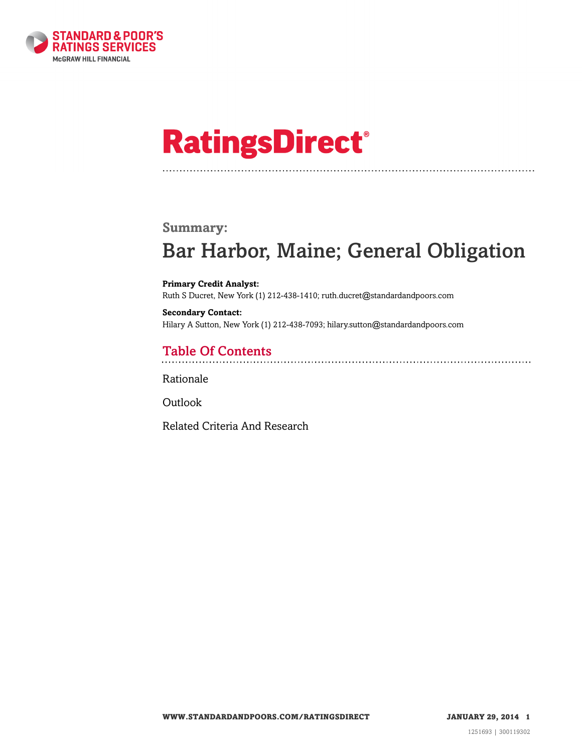

# **RatingsDirect®**

#### **Summary:**

# Bar Harbor, Maine; General Obligation

**Primary Credit Analyst:** Ruth S Ducret, New York (1) 212-438-1410; ruth.ducret@standardandpoors.com

**Secondary Contact:** Hilary A Sutton, New York (1) 212-438-7093; hilary.sutton@standardandpoors.com

## Table Of Contents

[Rationale](#page-1-0)

**[Outlook](#page-2-0)** 

[Related Criteria And Research](#page-2-1)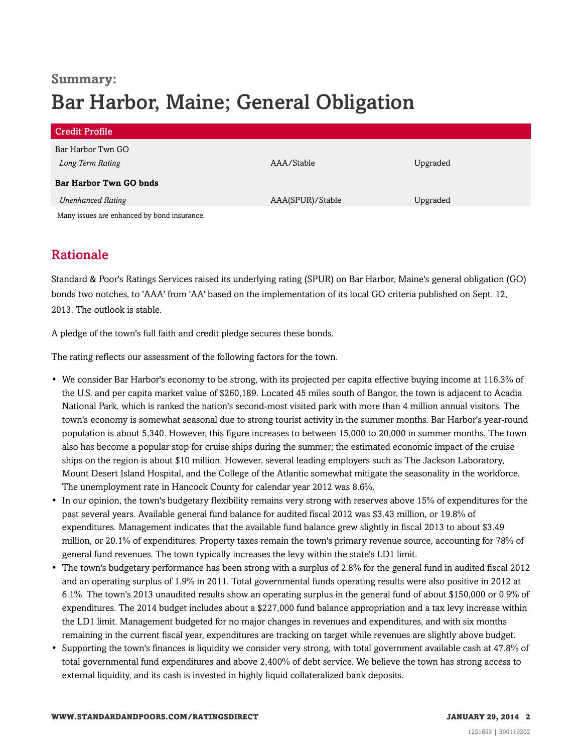## **Summary:** Bar Harbor, Maine; General Obligation

| <b>Credit Profile</b>                       |                  |          |
|---------------------------------------------|------------------|----------|
| Bar Harbor Twn GO                           |                  |          |
| Long Term Rating                            | AAA/Stable       | Upgraded |
| <b>Bar Harbor Twn GO bnds</b>               |                  |          |
| <b>Unenhanced Rating</b>                    | AAA(SPUR)/Stable | Upgraded |
| Many issues are enhanced by bond insurance. |                  |          |

### <span id="page-1-0"></span>Rationale

Standard & Poor's Ratings Services raised its underlying rating (SPUR) on Bar Harbor, Maine's general obligation (GO) bonds two notches, to 'AAA' from 'AA' based on the implementation of its local GO criteria published on Sept. 12, 2013. The outlook is stable.

A pledge of the town's full faith and credit pledge secures these bonds.

The rating reflects our assessment of the following factors for the town.

- We consider Bar Harbor's economy to be strong, with its projected per capita effective buying income at 116.3% of the U.S. and per capita market value of \$260,189. Located 45 miles south of Bangor, the town is adjacent to Acadia National Park, which is ranked the nation's second-most visited park with more than 4 million annual visitors. The town's economy is somewhat seasonal due to strong tourist activity in the summer months. Bar Harbor's year-round population is about 5,340. However, this figure increases to between 15,000 to 20,000 in summer months. The town also has become a popular stop for cruise ships during the summer; the estimated economic impact of the cruise ships on the region is about \$10 million. However, several leading employers such as The Jackson Laboratory, Mount Desert Island Hospital, and the College of the Atlantic somewhat mitigate the seasonality in the workforce. The unemployment rate in Hancock County for calendar year 2012 was 8.6%.
- In our opinion, the town's budgetary flexibility remains very strong with reserves above 15% of expenditures for the past several years. Available general fund balance for audited fiscal 2012 was \$3.43 million, or 19.8% of expenditures. Management indicates that the available fund balance grew slightly in fiscal 2013 to about \$3.49 million, or 20.1% of expenditures. Property taxes remain the town's primary revenue source, accounting for 78% of general fund revenues. The town typically increases the levy within the state's LD1 limit.
- The town's budgetary performance has been strong with a surplus of 2.8% for the general fund in audited fiscal 2012 and an operating surplus of 1.9% in 2011. Total governmental funds operating results were also positive in 2012 at 6.1%. The town's 2013 unaudited results show an operating surplus in the general fund of about \$150,000 or 0.9% of expenditures. The 2014 budget includes about a \$227,000 fund balance appropriation and a tax levy increase within the LD1 limit. Management budgeted for no major changes in revenues and expenditures, and with six months remaining in the current fiscal year, expenditures are tracking on target while revenues are slightly above budget.
- Supporting the town's finances is liquidity we consider very strong, with total government available cash at 47.8% of total governmental fund expenditures and above 2,400% of debt service. We believe the town has strong access to external liquidity, and its cash is invested in highly liquid collateralized bank deposits.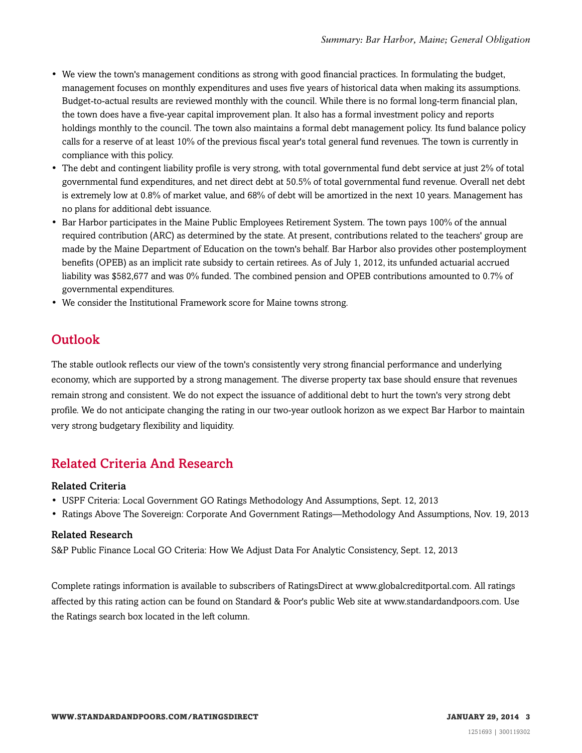- We view the town's management conditions as strong with good financial practices. In formulating the budget, management focuses on monthly expenditures and uses five years of historical data when making its assumptions. Budget-to-actual results are reviewed monthly with the council. While there is no formal long-term financial plan, the town does have a five-year capital improvement plan. It also has a formal investment policy and reports holdings monthly to the council. The town also maintains a formal debt management policy. Its fund balance policy calls for a reserve of at least 10% of the previous fiscal year's total general fund revenues. The town is currently in compliance with this policy.
- The debt and contingent liability profile is very strong, with total governmental fund debt service at just 2% of total governmental fund expenditures, and net direct debt at 50.5% of total governmental fund revenue. Overall net debt is extremely low at 0.8% of market value, and 68% of debt will be amortized in the next 10 years. Management has no plans for additional debt issuance.
- Bar Harbor participates in the Maine Public Employees Retirement System. The town pays 100% of the annual required contribution (ARC) as determined by the state. At present, contributions related to the teachers' group are made by the Maine Department of Education on the town's behalf. Bar Harbor also provides other postemployment benefits (OPEB) as an implicit rate subsidy to certain retirees. As of July 1, 2012, its unfunded actuarial accrued liability was \$582,677 and was 0% funded. The combined pension and OPEB contributions amounted to 0.7% of governmental expenditures.
- <span id="page-2-0"></span>• We consider the Institutional Framework score for Maine towns strong.

#### **Outlook**

The stable outlook reflects our view of the town's consistently very strong financial performance and underlying economy, which are supported by a strong management. The diverse property tax base should ensure that revenues remain strong and consistent. We do not expect the issuance of additional debt to hurt the town's very strong debt profile. We do not anticipate changing the rating in our two-year outlook horizon as we expect Bar Harbor to maintain very strong budgetary flexibility and liquidity.

#### <span id="page-2-1"></span>Related Criteria And Research

#### Related Criteria

- USPF Criteria: Local Government GO Ratings Methodology And Assumptions, Sept. 12, 2013
- Ratings Above The Sovereign: Corporate And Government Ratings—Methodology And Assumptions, Nov. 19, 2013

#### Related Research

S&P Public Finance Local GO Criteria: How We Adjust Data For Analytic Consistency, Sept. 12, 2013

Complete ratings information is available to subscribers of RatingsDirect at www.globalcreditportal.com. All ratings affected by this rating action can be found on Standard & Poor's public Web site at www.standardandpoors.com. Use the Ratings search box located in the left column.